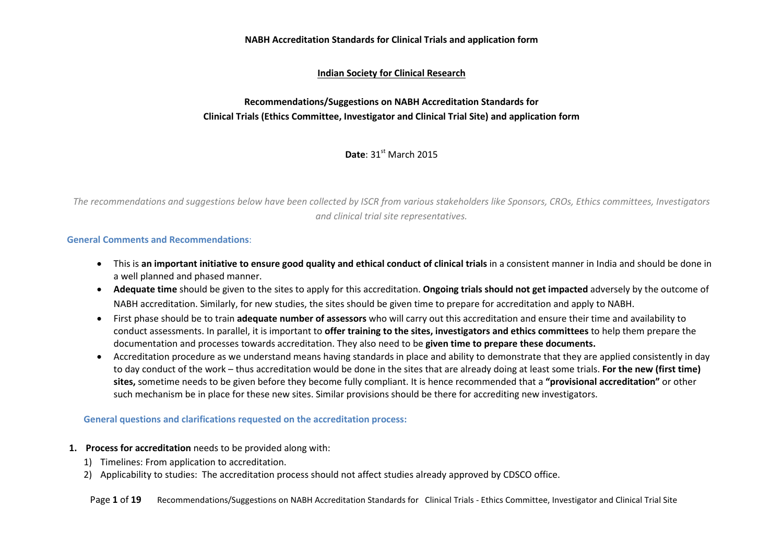### **NABH Accreditation Standards for Clinical Trials and application form**

## **Indian Society for Clinical Research**

# **Recommendations/Suggestions on NABH Accreditation Standards for Clinical Trials (Ethics Committee, Investigator and Clinical Trial Site) and application form**

**Date**: 31st March 2015

*The recommendations and suggestions below have been collected by ISCR from various stakeholders like Sponsors, CROs, Ethics committees, Investigators and clinical trial site representatives.* 

#### **General Comments and Recommendations**:

- This is **an important initiative to ensure good quality and ethical conduct of clinical trials** in a consistent manner in India and should be done in a well planned and phased manner.
- **Adequate time** should be given to the sites to apply for this accreditation. **Ongoing trials should not get impacted** adversely by the outcome of NABH accreditation. Similarly, for new studies, the sites should be given time to prepare for accreditation and apply to NABH.
- First phase should be to train **adequate number of assessors** who will carry out this accreditation and ensure their time and availability to conduct assessments. In parallel, it is important to **offer training to the sites, investigators and ethics committees** to help them prepare the documentation and processes towards accreditation. They also need to be **given time to prepare these documents.**
- Accreditation procedure as we understand means having standards in place and ability to demonstrate that they are applied consistently in day to day conduct of the work – thus accreditation would be done in the sites that are already doing at least some trials. **For the new (first time) sites,** sometime needs to be given before they become fully compliant. It is hence recommended that a **"provisional accreditation"** or other such mechanism be in place for these new sites. Similar provisions should be there for accrediting new investigators.

#### **General questions and clarifications requested on the accreditation process:**

- **1. Process for accreditation** needs to be provided along with:
	- 1) Timelines: From application to accreditation.
	- 2) Applicability to studies: The accreditation process should not affect studies already approved by CDSCO office.

Page 1 of 19 Recommendations/Suggestions on NABH Accreditation Standards for Clinical Trials - Ethics Committee, Investigator and Clinical Trial Site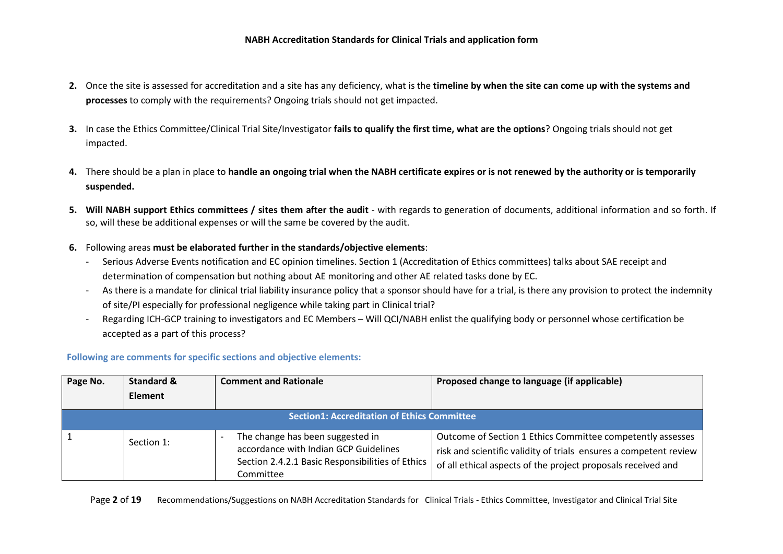- **2.** Once the site is assessed for accreditation and a site has any deficiency, what is the **timeline by when the site can come up with the systems and processes** to comply with the requirements? Ongoing trials should not get impacted.
- **3.** In case the Ethics Committee/Clinical Trial Site/Investigator **fails to qualify the first time, what are the options**? Ongoing trials should not get impacted.
- **4.** There should be a plan in place to **handle an ongoing trial when the NABH certificate expires or is not renewed by the authority or is temporarily suspended.**
- **5. Will NABH support Ethics committees / sites them after the audit** with regards to generation of documents, additional information and so forth. If so, will these be additional expenses or will the same be covered by the audit.
- **6.** Following areas **must be elaborated further in the standards/objective elements**:
	- Serious Adverse Events notification and EC opinion timelines. Section 1 (Accreditation of Ethics committees) talks about SAE receipt and determination of compensation but nothing about AE monitoring and other AE related tasks done by EC.
	- As there is a mandate for clinical trial liability insurance policy that a sponsor should have for a trial, is there any provision to protect the indemnity of site/PI especially for professional negligence while taking part in Clinical trial?
	- Regarding ICH-GCP training to investigators and EC Members Will QCI/NABH enlist the qualifying body or personnel whose certification be accepted as a part of this process?

## **Following are comments for specific sections and objective elements:**

| Page No. | <b>Standard &amp;</b><br>Element | <b>Comment and Rationale</b>                                                                                                               | Proposed change to language (if applicable)                                                                                                                                                     |
|----------|----------------------------------|--------------------------------------------------------------------------------------------------------------------------------------------|-------------------------------------------------------------------------------------------------------------------------------------------------------------------------------------------------|
|          |                                  | <b>Section1: Accreditation of Ethics Committee</b>                                                                                         |                                                                                                                                                                                                 |
|          | Section 1:                       | The change has been suggested in<br>accordance with Indian GCP Guidelines<br>Section 2.4.2.1 Basic Responsibilities of Ethics<br>Committee | Outcome of Section 1 Ethics Committee competently assesses<br>risk and scientific validity of trials ensures a competent review<br>of all ethical aspects of the project proposals received and |

Page 2 of 19 Recommendations/Suggestions on NABH Accreditation Standards for Clinical Trials - Ethics Committee, Investigator and Clinical Trial Site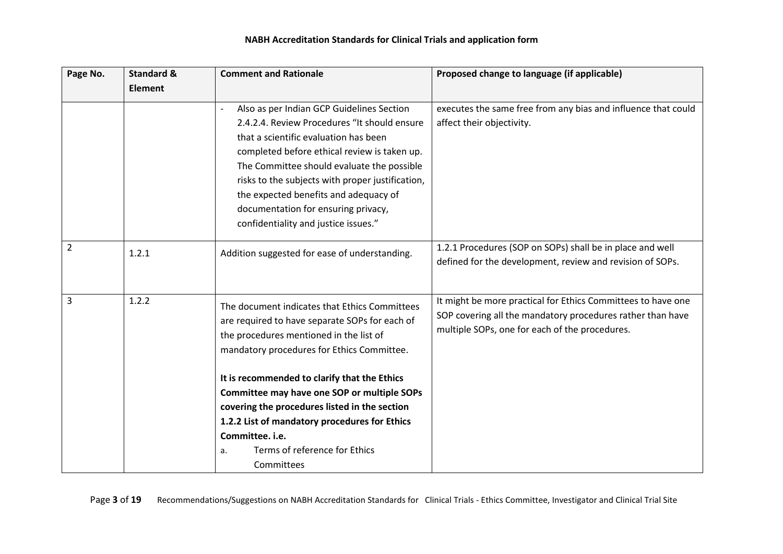## **NABH Accreditation Standards for Clinical Trials and application form**

| Page No.       | <b>Standard &amp;</b> | <b>Comment and Rationale</b>                                                                                                                                                                                                                                                                                                                                                                                                                                      | Proposed change to language (if applicable)                                                                                                                                  |
|----------------|-----------------------|-------------------------------------------------------------------------------------------------------------------------------------------------------------------------------------------------------------------------------------------------------------------------------------------------------------------------------------------------------------------------------------------------------------------------------------------------------------------|------------------------------------------------------------------------------------------------------------------------------------------------------------------------------|
|                | <b>Element</b>        |                                                                                                                                                                                                                                                                                                                                                                                                                                                                   |                                                                                                                                                                              |
|                |                       | Also as per Indian GCP Guidelines Section<br>2.4.2.4. Review Procedures "It should ensure<br>that a scientific evaluation has been<br>completed before ethical review is taken up.<br>The Committee should evaluate the possible<br>risks to the subjects with proper justification,<br>the expected benefits and adequacy of<br>documentation for ensuring privacy,<br>confidentiality and justice issues."                                                      | executes the same free from any bias and influence that could<br>affect their objectivity.                                                                                   |
| $\overline{2}$ | 1.2.1                 | Addition suggested for ease of understanding.                                                                                                                                                                                                                                                                                                                                                                                                                     | 1.2.1 Procedures (SOP on SOPs) shall be in place and well<br>defined for the development, review and revision of SOPs.                                                       |
| 3              | 1.2.2                 | The document indicates that Ethics Committees<br>are required to have separate SOPs for each of<br>the procedures mentioned in the list of<br>mandatory procedures for Ethics Committee.<br>It is recommended to clarify that the Ethics<br>Committee may have one SOP or multiple SOPs<br>covering the procedures listed in the section<br>1.2.2 List of mandatory procedures for Ethics<br>Committee. i.e.<br>Terms of reference for Ethics<br>a.<br>Committees | It might be more practical for Ethics Committees to have one<br>SOP covering all the mandatory procedures rather than have<br>multiple SOPs, one for each of the procedures. |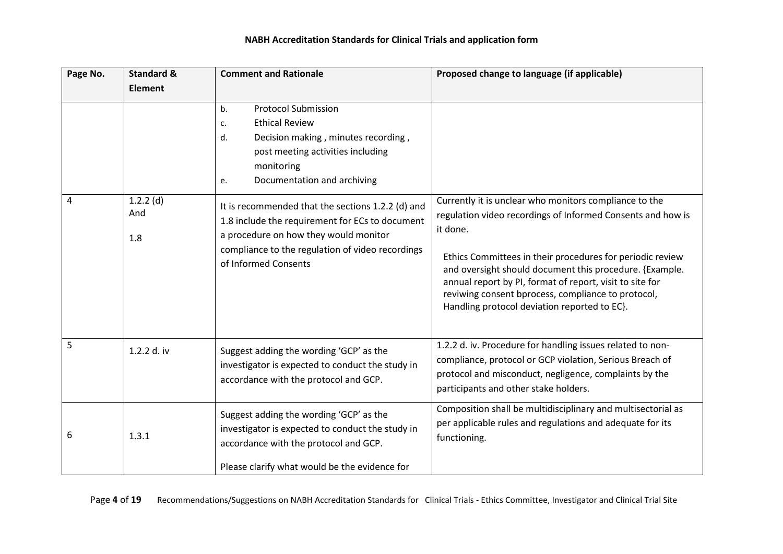| Page No. | <b>Standard &amp;</b><br><b>Element</b> | <b>Comment and Rationale</b>                                                                                                                                                                                              | Proposed change to language (if applicable)                                                                                                                                                                                                                                                                                                                                                                                 |
|----------|-----------------------------------------|---------------------------------------------------------------------------------------------------------------------------------------------------------------------------------------------------------------------------|-----------------------------------------------------------------------------------------------------------------------------------------------------------------------------------------------------------------------------------------------------------------------------------------------------------------------------------------------------------------------------------------------------------------------------|
|          |                                         | <b>Protocol Submission</b><br>b <sub>1</sub><br><b>Ethical Review</b><br>c.<br>Decision making, minutes recording,<br>d.<br>post meeting activities including<br>monitoring<br>Documentation and archiving<br>e.          |                                                                                                                                                                                                                                                                                                                                                                                                                             |
| 4        | $1.2.2$ (d)<br>And<br>1.8               | It is recommended that the sections 1.2.2 (d) and<br>1.8 include the requirement for ECs to document<br>a procedure on how they would monitor<br>compliance to the regulation of video recordings<br>of Informed Consents | Currently it is unclear who monitors compliance to the<br>regulation video recordings of Informed Consents and how is<br>it done.<br>Ethics Committees in their procedures for periodic review<br>and oversight should document this procedure. {Example.<br>annual report by PI, format of report, visit to site for<br>reviwing consent bprocess, compliance to protocol,<br>Handling protocol deviation reported to EC}. |
| 5        | 1.2.2 d. iv                             | Suggest adding the wording 'GCP' as the<br>investigator is expected to conduct the study in<br>accordance with the protocol and GCP.                                                                                      | 1.2.2 d. iv. Procedure for handling issues related to non-<br>compliance, protocol or GCP violation, Serious Breach of<br>protocol and misconduct, negligence, complaints by the<br>participants and other stake holders.                                                                                                                                                                                                   |
| 6        | 1.3.1                                   | Suggest adding the wording 'GCP' as the<br>investigator is expected to conduct the study in<br>accordance with the protocol and GCP.<br>Please clarify what would be the evidence for                                     | Composition shall be multidisciplinary and multisectorial as<br>per applicable rules and regulations and adequate for its<br>functioning.                                                                                                                                                                                                                                                                                   |

Page 4 of 19 Recommendations/Suggestions on NABH Accreditation Standards for Clinical Trials - Ethics Committee, Investigator and Clinical Trial Site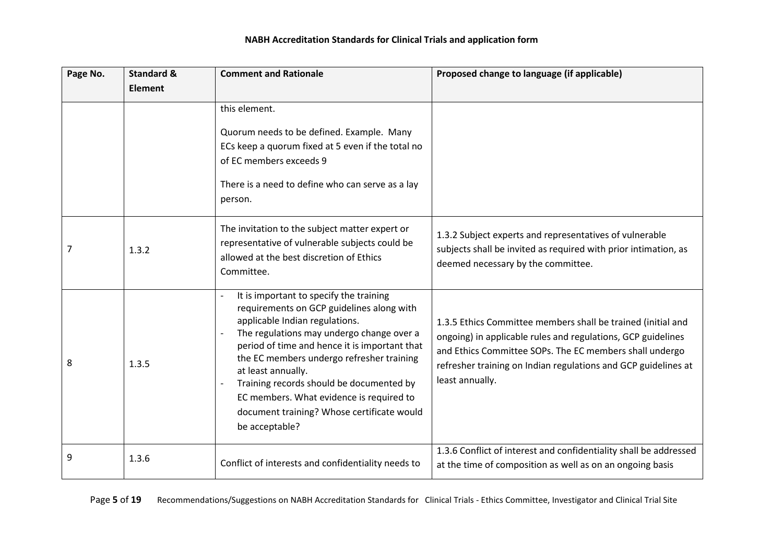| Page No. | <b>Standard &amp;</b> | <b>Comment and Rationale</b>                                                                                                                                                                                                                                                                                                                                                                                                                    | Proposed change to language (if applicable)                                                                                                                                                                                                                                  |
|----------|-----------------------|-------------------------------------------------------------------------------------------------------------------------------------------------------------------------------------------------------------------------------------------------------------------------------------------------------------------------------------------------------------------------------------------------------------------------------------------------|------------------------------------------------------------------------------------------------------------------------------------------------------------------------------------------------------------------------------------------------------------------------------|
|          | <b>Element</b>        |                                                                                                                                                                                                                                                                                                                                                                                                                                                 |                                                                                                                                                                                                                                                                              |
|          |                       | this element.                                                                                                                                                                                                                                                                                                                                                                                                                                   |                                                                                                                                                                                                                                                                              |
|          |                       | Quorum needs to be defined. Example. Many<br>ECs keep a quorum fixed at 5 even if the total no<br>of EC members exceeds 9<br>There is a need to define who can serve as a lay<br>person.                                                                                                                                                                                                                                                        |                                                                                                                                                                                                                                                                              |
| 7        | 1.3.2                 | The invitation to the subject matter expert or<br>representative of vulnerable subjects could be<br>allowed at the best discretion of Ethics<br>Committee.                                                                                                                                                                                                                                                                                      | 1.3.2 Subject experts and representatives of vulnerable<br>subjects shall be invited as required with prior intimation, as<br>deemed necessary by the committee.                                                                                                             |
| 8        | 1.3.5                 | It is important to specify the training<br>requirements on GCP guidelines along with<br>applicable Indian regulations.<br>The regulations may undergo change over a<br>period of time and hence it is important that<br>the EC members undergo refresher training<br>at least annually.<br>Training records should be documented by<br>EC members. What evidence is required to<br>document training? Whose certificate would<br>be acceptable? | 1.3.5 Ethics Committee members shall be trained (initial and<br>ongoing) in applicable rules and regulations, GCP guidelines<br>and Ethics Committee SOPs. The EC members shall undergo<br>refresher training on Indian regulations and GCP guidelines at<br>least annually. |
| 9        | 1.3.6                 | Conflict of interests and confidentiality needs to                                                                                                                                                                                                                                                                                                                                                                                              | 1.3.6 Conflict of interest and confidentiality shall be addressed<br>at the time of composition as well as on an ongoing basis                                                                                                                                               |

Page 5 of 19 Recommendations/Suggestions on NABH Accreditation Standards for Clinical Trials - Ethics Committee, Investigator and Clinical Trial Site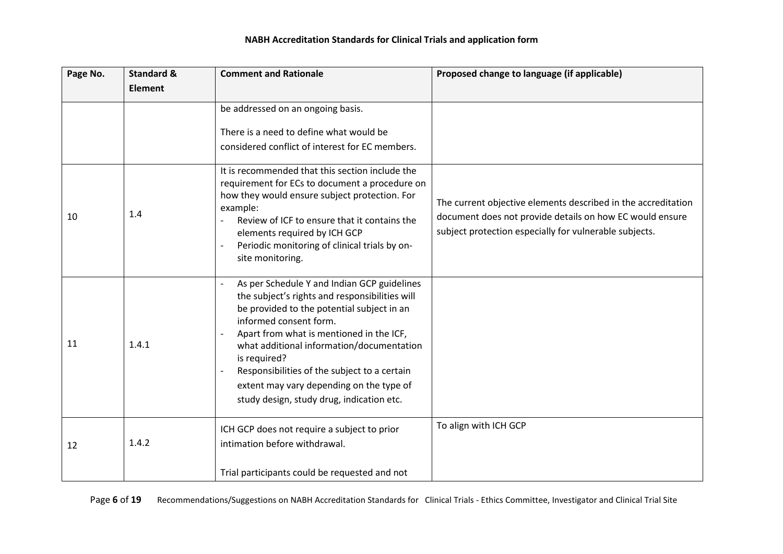| Page No. | <b>Standard &amp;</b> | <b>Comment and Rationale</b>                                                                                                                                                                                                                                                                                                                                                                                            | Proposed change to language (if applicable)                                                                                                                                         |
|----------|-----------------------|-------------------------------------------------------------------------------------------------------------------------------------------------------------------------------------------------------------------------------------------------------------------------------------------------------------------------------------------------------------------------------------------------------------------------|-------------------------------------------------------------------------------------------------------------------------------------------------------------------------------------|
|          | <b>Element</b>        |                                                                                                                                                                                                                                                                                                                                                                                                                         |                                                                                                                                                                                     |
|          |                       | be addressed on an ongoing basis.                                                                                                                                                                                                                                                                                                                                                                                       |                                                                                                                                                                                     |
|          |                       | There is a need to define what would be                                                                                                                                                                                                                                                                                                                                                                                 |                                                                                                                                                                                     |
|          |                       | considered conflict of interest for EC members.                                                                                                                                                                                                                                                                                                                                                                         |                                                                                                                                                                                     |
| 10       | 1.4                   | It is recommended that this section include the<br>requirement for ECs to document a procedure on<br>how they would ensure subject protection. For<br>example:<br>Review of ICF to ensure that it contains the<br>elements required by ICH GCP<br>Periodic monitoring of clinical trials by on-<br>site monitoring.                                                                                                     | The current objective elements described in the accreditation<br>document does not provide details on how EC would ensure<br>subject protection especially for vulnerable subjects. |
| 11       | 1.4.1                 | As per Schedule Y and Indian GCP guidelines<br>the subject's rights and responsibilities will<br>be provided to the potential subject in an<br>informed consent form.<br>Apart from what is mentioned in the ICF,<br>what additional information/documentation<br>is required?<br>Responsibilities of the subject to a certain<br>extent may vary depending on the type of<br>study design, study drug, indication etc. |                                                                                                                                                                                     |
| 12       | 1.4.2                 | ICH GCP does not require a subject to prior<br>intimation before withdrawal.                                                                                                                                                                                                                                                                                                                                            | To align with ICH GCP                                                                                                                                                               |
|          |                       | Trial participants could be requested and not                                                                                                                                                                                                                                                                                                                                                                           |                                                                                                                                                                                     |

Page 6 of 19 Recommendations/Suggestions on NABH Accreditation Standards for Clinical Trials - Ethics Committee, Investigator and Clinical Trial Site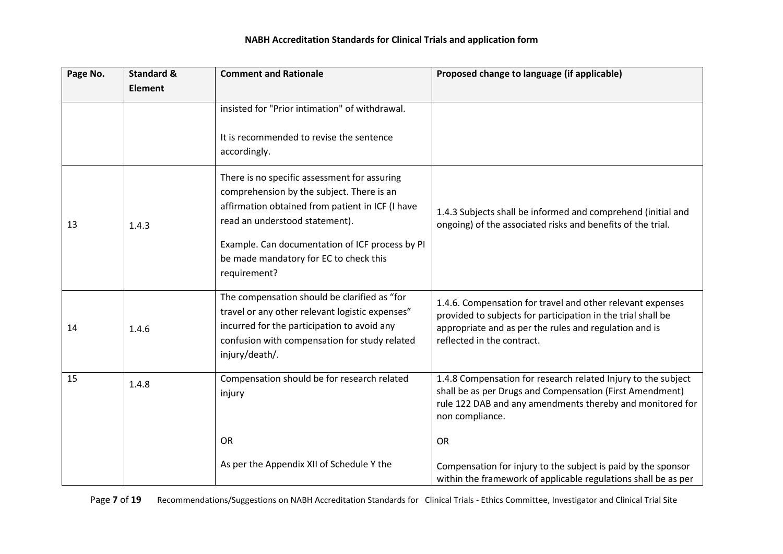| Page No. | <b>Standard &amp;</b> | <b>Comment and Rationale</b>                                                                                                                                                                                                       | Proposed change to language (if applicable)                                                                                                                                                                        |
|----------|-----------------------|------------------------------------------------------------------------------------------------------------------------------------------------------------------------------------------------------------------------------------|--------------------------------------------------------------------------------------------------------------------------------------------------------------------------------------------------------------------|
|          | <b>Element</b>        |                                                                                                                                                                                                                                    |                                                                                                                                                                                                                    |
|          |                       | insisted for "Prior intimation" of withdrawal.                                                                                                                                                                                     |                                                                                                                                                                                                                    |
|          |                       | It is recommended to revise the sentence<br>accordingly.                                                                                                                                                                           |                                                                                                                                                                                                                    |
| 13       | 1.4.3                 | There is no specific assessment for assuring<br>comprehension by the subject. There is an<br>affirmation obtained from patient in ICF (I have<br>read an understood statement).<br>Example. Can documentation of ICF process by PI | 1.4.3 Subjects shall be informed and comprehend (initial and<br>ongoing) of the associated risks and benefits of the trial.                                                                                        |
|          |                       | be made mandatory for EC to check this<br>requirement?                                                                                                                                                                             |                                                                                                                                                                                                                    |
| 14       | 1.4.6                 | The compensation should be clarified as "for<br>travel or any other relevant logistic expenses"<br>incurred for the participation to avoid any<br>confusion with compensation for study related<br>injury/death/.                  | 1.4.6. Compensation for travel and other relevant expenses<br>provided to subjects for participation in the trial shall be<br>appropriate and as per the rules and regulation and is<br>reflected in the contract. |
| 15       | 1.4.8                 | Compensation should be for research related<br>injury                                                                                                                                                                              | 1.4.8 Compensation for research related Injury to the subject<br>shall be as per Drugs and Compensation (First Amendment)<br>rule 122 DAB and any amendments thereby and monitored for<br>non compliance.          |
|          |                       | <b>OR</b>                                                                                                                                                                                                                          | <b>OR</b>                                                                                                                                                                                                          |
|          |                       | As per the Appendix XII of Schedule Y the                                                                                                                                                                                          | Compensation for injury to the subject is paid by the sponsor<br>within the framework of applicable regulations shall be as per                                                                                    |

Page 7 of 19 Recommendations/Suggestions on NABH Accreditation Standards for Clinical Trials - Ethics Committee, Investigator and Clinical Trial Site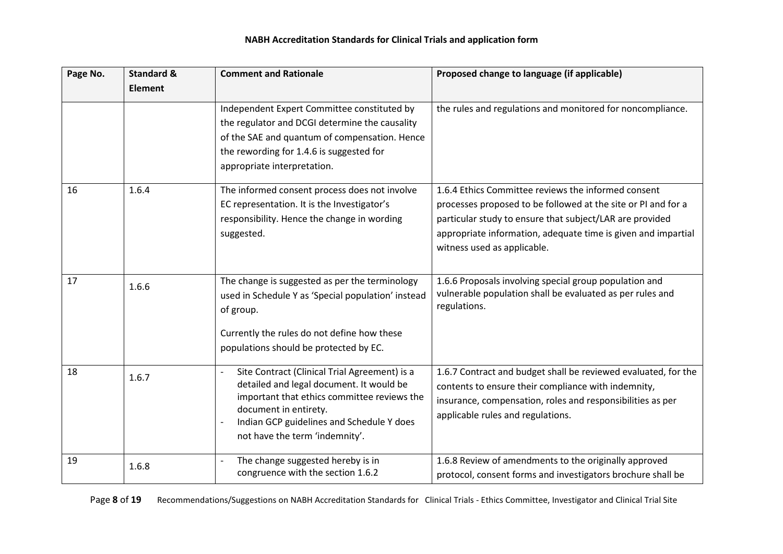| Page No. | <b>Standard &amp;</b> | <b>Comment and Rationale</b>                                                                                                                                                                                                                     | Proposed change to language (if applicable)                                                                                                                                                                                                                                      |
|----------|-----------------------|--------------------------------------------------------------------------------------------------------------------------------------------------------------------------------------------------------------------------------------------------|----------------------------------------------------------------------------------------------------------------------------------------------------------------------------------------------------------------------------------------------------------------------------------|
|          | <b>Element</b>        |                                                                                                                                                                                                                                                  |                                                                                                                                                                                                                                                                                  |
|          |                       | Independent Expert Committee constituted by<br>the regulator and DCGI determine the causality<br>of the SAE and quantum of compensation. Hence<br>the rewording for 1.4.6 is suggested for<br>appropriate interpretation.                        | the rules and regulations and monitored for noncompliance.                                                                                                                                                                                                                       |
| 16       | 1.6.4                 | The informed consent process does not involve<br>EC representation. It is the Investigator's<br>responsibility. Hence the change in wording<br>suggested.                                                                                        | 1.6.4 Ethics Committee reviews the informed consent<br>processes proposed to be followed at the site or PI and for a<br>particular study to ensure that subject/LAR are provided<br>appropriate information, adequate time is given and impartial<br>witness used as applicable. |
| 17       | 1.6.6                 | The change is suggested as per the terminology<br>used in Schedule Y as 'Special population' instead<br>of group.<br>Currently the rules do not define how these<br>populations should be protected by EC.                                       | 1.6.6 Proposals involving special group population and<br>vulnerable population shall be evaluated as per rules and<br>regulations.                                                                                                                                              |
| 18       | 1.6.7                 | Site Contract (Clinical Trial Agreement) is a<br>detailed and legal document. It would be<br>important that ethics committee reviews the<br>document in entirety.<br>Indian GCP guidelines and Schedule Y does<br>not have the term 'indemnity'. | 1.6.7 Contract and budget shall be reviewed evaluated, for the<br>contents to ensure their compliance with indemnity,<br>insurance, compensation, roles and responsibilities as per<br>applicable rules and regulations.                                                         |
| 19       | 1.6.8                 | The change suggested hereby is in<br>congruence with the section 1.6.2                                                                                                                                                                           | 1.6.8 Review of amendments to the originally approved<br>protocol, consent forms and investigators brochure shall be                                                                                                                                                             |

Page 8 of 19 Recommendations/Suggestions on NABH Accreditation Standards for Clinical Trials - Ethics Committee, Investigator and Clinical Trial Site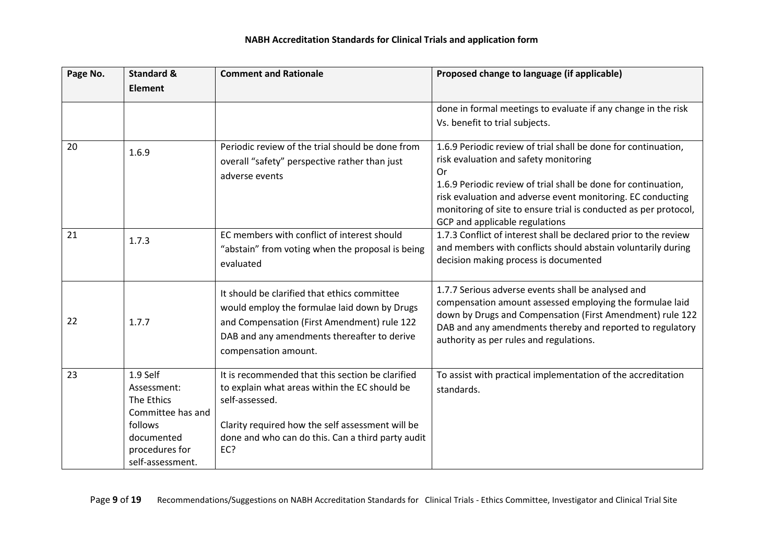| Page No. | <b>Standard &amp;</b>     | <b>Comment and Rationale</b>                      | Proposed change to language (if applicable)                                                                                     |
|----------|---------------------------|---------------------------------------------------|---------------------------------------------------------------------------------------------------------------------------------|
|          | <b>Element</b>            |                                                   |                                                                                                                                 |
|          |                           |                                                   | done in formal meetings to evaluate if any change in the risk                                                                   |
|          |                           |                                                   | Vs. benefit to trial subjects.                                                                                                  |
| 20       | 1.6.9                     | Periodic review of the trial should be done from  | 1.6.9 Periodic review of trial shall be done for continuation,                                                                  |
|          |                           | overall "safety" perspective rather than just     | risk evaluation and safety monitoring                                                                                           |
|          |                           | adverse events                                    | 0r                                                                                                                              |
|          |                           |                                                   | 1.6.9 Periodic review of trial shall be done for continuation,                                                                  |
|          |                           |                                                   | risk evaluation and adverse event monitoring. EC conducting<br>monitoring of site to ensure trial is conducted as per protocol, |
|          |                           |                                                   | GCP and applicable regulations                                                                                                  |
| 21       |                           | EC members with conflict of interest should       | 1.7.3 Conflict of interest shall be declared prior to the review                                                                |
|          | 1.7.3                     | "abstain" from voting when the proposal is being  | and members with conflicts should abstain voluntarily during                                                                    |
|          |                           | evaluated                                         | decision making process is documented                                                                                           |
|          |                           |                                                   |                                                                                                                                 |
|          |                           | It should be clarified that ethics committee      | 1.7.7 Serious adverse events shall be analysed and                                                                              |
|          |                           | would employ the formulae laid down by Drugs      | compensation amount assessed employing the formulae laid                                                                        |
| 22       | 1.7.7                     | and Compensation (First Amendment) rule 122       | down by Drugs and Compensation (First Amendment) rule 122                                                                       |
|          |                           | DAB and any amendments thereafter to derive       | DAB and any amendments thereby and reported to regulatory<br>authority as per rules and regulations.                            |
|          |                           | compensation amount.                              |                                                                                                                                 |
|          |                           |                                                   |                                                                                                                                 |
| 23       | 1.9 Self                  | It is recommended that this section be clarified  | To assist with practical implementation of the accreditation                                                                    |
|          | Assessment:<br>The Ethics | to explain what areas within the EC should be     | standards.                                                                                                                      |
|          | Committee has and         | self-assessed.                                    |                                                                                                                                 |
|          | follows                   | Clarity required how the self assessment will be  |                                                                                                                                 |
|          | documented                | done and who can do this. Can a third party audit |                                                                                                                                 |
|          | procedures for            | EC?                                               |                                                                                                                                 |
|          | self-assessment.          |                                                   |                                                                                                                                 |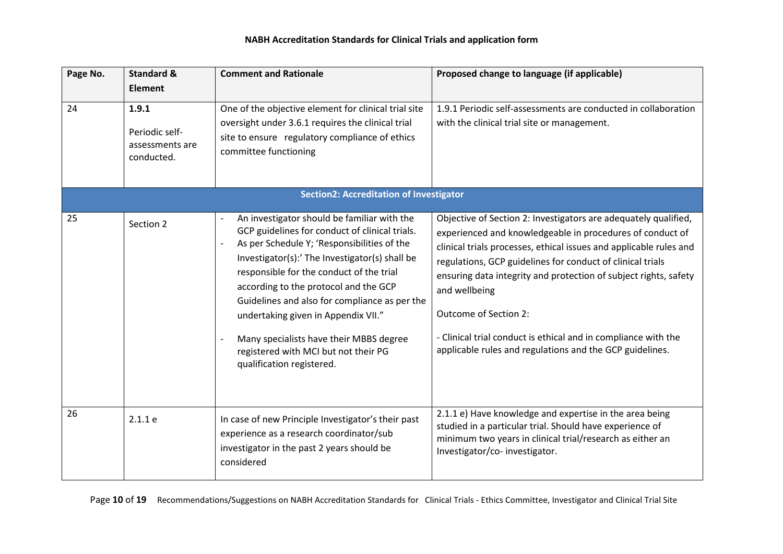| Page No. | <b>Standard &amp;</b><br><b>Element</b>                  | <b>Comment and Rationale</b>                                                                                                                                                                                                                                                                                                                                                                                                                                                                | Proposed change to language (if applicable)                                                                                                                                                                                                                                                                                                                                                                                                                                                                  |
|----------|----------------------------------------------------------|---------------------------------------------------------------------------------------------------------------------------------------------------------------------------------------------------------------------------------------------------------------------------------------------------------------------------------------------------------------------------------------------------------------------------------------------------------------------------------------------|--------------------------------------------------------------------------------------------------------------------------------------------------------------------------------------------------------------------------------------------------------------------------------------------------------------------------------------------------------------------------------------------------------------------------------------------------------------------------------------------------------------|
| 24       | 1.9.1<br>Periodic self-<br>assessments are<br>conducted. | One of the objective element for clinical trial site<br>oversight under 3.6.1 requires the clinical trial<br>site to ensure regulatory compliance of ethics<br>committee functioning                                                                                                                                                                                                                                                                                                        | 1.9.1 Periodic self-assessments are conducted in collaboration<br>with the clinical trial site or management.                                                                                                                                                                                                                                                                                                                                                                                                |
|          |                                                          | <b>Section2: Accreditation of Investigator</b>                                                                                                                                                                                                                                                                                                                                                                                                                                              |                                                                                                                                                                                                                                                                                                                                                                                                                                                                                                              |
| 25       | Section 2                                                | An investigator should be familiar with the<br>GCP guidelines for conduct of clinical trials.<br>As per Schedule Y; 'Responsibilities of the<br>Investigator(s):' The Investigator(s) shall be<br>responsible for the conduct of the trial<br>according to the protocol and the GCP<br>Guidelines and also for compliance as per the<br>undertaking given in Appendix VII."<br>Many specialists have their MBBS degree<br>registered with MCI but not their PG<br>qualification registered. | Objective of Section 2: Investigators are adequately qualified,<br>experienced and knowledgeable in procedures of conduct of<br>clinical trials processes, ethical issues and applicable rules and<br>regulations, GCP guidelines for conduct of clinical trials<br>ensuring data integrity and protection of subject rights, safety<br>and wellbeing<br>Outcome of Section 2:<br>- Clinical trial conduct is ethical and in compliance with the<br>applicable rules and regulations and the GCP guidelines. |
| 26       | 2.1.1e                                                   | In case of new Principle Investigator's their past<br>experience as a research coordinator/sub<br>investigator in the past 2 years should be<br>considered                                                                                                                                                                                                                                                                                                                                  | 2.1.1 e) Have knowledge and expertise in the area being<br>studied in a particular trial. Should have experience of<br>minimum two years in clinical trial/research as either an<br>Investigator/co-investigator.                                                                                                                                                                                                                                                                                            |

Page 10 of 19 Recommendations/Suggestions on NABH Accreditation Standards for Clinical Trials - Ethics Committee, Investigator and Clinical Trial Site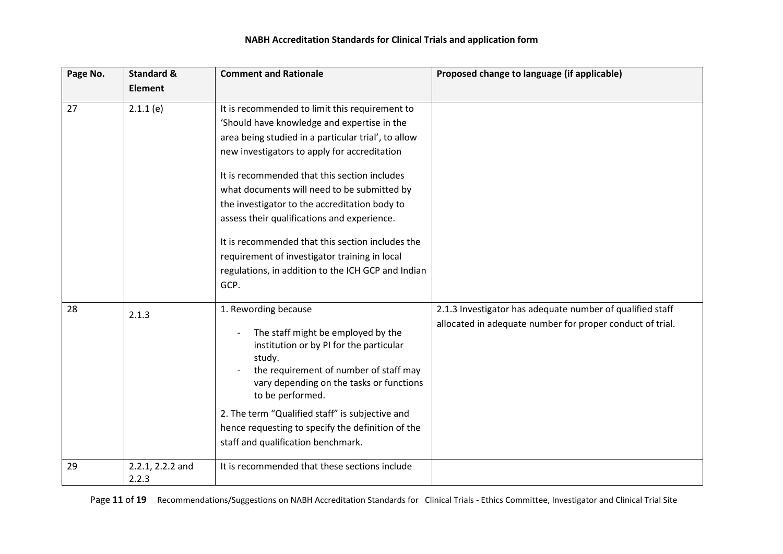| Page No. | <b>Standard &amp;</b>     | <b>Comment and Rationale</b>                                                                                                                                                                                                                                                                                                                                                                                                                                                                                                                                           | Proposed change to language (if applicable)                                                                            |
|----------|---------------------------|------------------------------------------------------------------------------------------------------------------------------------------------------------------------------------------------------------------------------------------------------------------------------------------------------------------------------------------------------------------------------------------------------------------------------------------------------------------------------------------------------------------------------------------------------------------------|------------------------------------------------------------------------------------------------------------------------|
|          | <b>Element</b>            |                                                                                                                                                                                                                                                                                                                                                                                                                                                                                                                                                                        |                                                                                                                        |
| 27       | 2.1.1(e)                  | It is recommended to limit this requirement to<br>'Should have knowledge and expertise in the<br>area being studied in a particular trial', to allow<br>new investigators to apply for accreditation<br>It is recommended that this section includes<br>what documents will need to be submitted by<br>the investigator to the accreditation body to<br>assess their qualifications and experience.<br>It is recommended that this section includes the<br>requirement of investigator training in local<br>regulations, in addition to the ICH GCP and Indian<br>GCP. |                                                                                                                        |
| 28       | 2.1.3                     | 1. Rewording because<br>The staff might be employed by the<br>institution or by PI for the particular<br>study.<br>the requirement of number of staff may<br>vary depending on the tasks or functions<br>to be performed.<br>2. The term "Qualified staff" is subjective and<br>hence requesting to specify the definition of the<br>staff and qualification benchmark.                                                                                                                                                                                                | 2.1.3 Investigator has adequate number of qualified staff<br>allocated in adequate number for proper conduct of trial. |
| 29       | 2.2.1, 2.2.2 and<br>2.2.3 | It is recommended that these sections include                                                                                                                                                                                                                                                                                                                                                                                                                                                                                                                          |                                                                                                                        |

Page 11 of 19 Recommendations/Suggestions on NABH Accreditation Standards for Clinical Trials - Ethics Committee, Investigator and Clinical Trial Site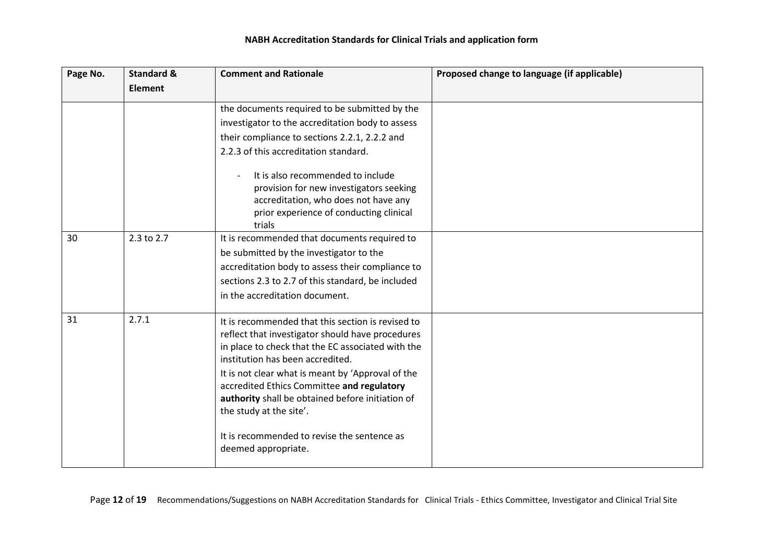| Page No. | <b>Standard &amp;</b> | <b>Comment and Rationale</b>                                                                                                                                                                                                                                                                                                                                                     | Proposed change to language (if applicable) |
|----------|-----------------------|----------------------------------------------------------------------------------------------------------------------------------------------------------------------------------------------------------------------------------------------------------------------------------------------------------------------------------------------------------------------------------|---------------------------------------------|
|          | <b>Element</b>        |                                                                                                                                                                                                                                                                                                                                                                                  |                                             |
|          |                       | the documents required to be submitted by the                                                                                                                                                                                                                                                                                                                                    |                                             |
|          |                       | investigator to the accreditation body to assess                                                                                                                                                                                                                                                                                                                                 |                                             |
|          |                       | their compliance to sections 2.2.1, 2.2.2 and                                                                                                                                                                                                                                                                                                                                    |                                             |
|          |                       | 2.2.3 of this accreditation standard.                                                                                                                                                                                                                                                                                                                                            |                                             |
|          |                       | It is also recommended to include<br>provision for new investigators seeking<br>accreditation, who does not have any<br>prior experience of conducting clinical<br>trials                                                                                                                                                                                                        |                                             |
| 30       | 2.3 to 2.7            | It is recommended that documents required to                                                                                                                                                                                                                                                                                                                                     |                                             |
|          |                       | be submitted by the investigator to the                                                                                                                                                                                                                                                                                                                                          |                                             |
|          |                       | accreditation body to assess their compliance to                                                                                                                                                                                                                                                                                                                                 |                                             |
|          |                       | sections 2.3 to 2.7 of this standard, be included                                                                                                                                                                                                                                                                                                                                |                                             |
|          |                       | in the accreditation document.                                                                                                                                                                                                                                                                                                                                                   |                                             |
| 31       | 2.7.1                 | It is recommended that this section is revised to<br>reflect that investigator should have procedures<br>in place to check that the EC associated with the<br>institution has been accredited.<br>It is not clear what is meant by 'Approval of the<br>accredited Ethics Committee and regulatory<br>authority shall be obtained before initiation of<br>the study at the site'. |                                             |
|          |                       | It is recommended to revise the sentence as<br>deemed appropriate.                                                                                                                                                                                                                                                                                                               |                                             |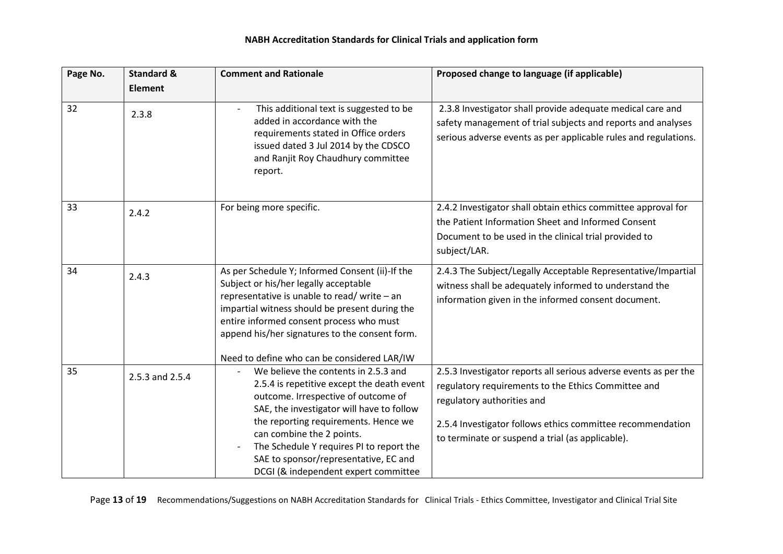| Page No. | <b>Standard &amp;</b> | <b>Comment and Rationale</b>                                                                                                                                                                                                                                                                                                                                             | Proposed change to language (if applicable)                                                                                                                                                                                                                             |
|----------|-----------------------|--------------------------------------------------------------------------------------------------------------------------------------------------------------------------------------------------------------------------------------------------------------------------------------------------------------------------------------------------------------------------|-------------------------------------------------------------------------------------------------------------------------------------------------------------------------------------------------------------------------------------------------------------------------|
|          | <b>Element</b>        |                                                                                                                                                                                                                                                                                                                                                                          |                                                                                                                                                                                                                                                                         |
| 32       | 2.3.8                 | This additional text is suggested to be<br>added in accordance with the<br>requirements stated in Office orders<br>issued dated 3 Jul 2014 by the CDSCO<br>and Ranjit Roy Chaudhury committee<br>report.                                                                                                                                                                 | 2.3.8 Investigator shall provide adequate medical care and<br>safety management of trial subjects and reports and analyses<br>serious adverse events as per applicable rules and regulations.                                                                           |
| 33       | 2.4.2                 | For being more specific.                                                                                                                                                                                                                                                                                                                                                 | 2.4.2 Investigator shall obtain ethics committee approval for<br>the Patient Information Sheet and Informed Consent<br>Document to be used in the clinical trial provided to<br>subject/LAR.                                                                            |
| 34       | 2.4.3                 | As per Schedule Y; Informed Consent (ii)-If the<br>Subject or his/her legally acceptable<br>representative is unable to read/write - an<br>impartial witness should be present during the<br>entire informed consent process who must<br>append his/her signatures to the consent form.<br>Need to define who can be considered LAR/IW                                   | 2.4.3 The Subject/Legally Acceptable Representative/Impartial<br>witness shall be adequately informed to understand the<br>information given in the informed consent document.                                                                                          |
| 35       | 2.5.3 and 2.5.4       | We believe the contents in 2.5.3 and<br>2.5.4 is repetitive except the death event<br>outcome. Irrespective of outcome of<br>SAE, the investigator will have to follow<br>the reporting requirements. Hence we<br>can combine the 2 points.<br>The Schedule Y requires PI to report the<br>SAE to sponsor/representative, EC and<br>DCGI (& independent expert committee | 2.5.3 Investigator reports all serious adverse events as per the<br>regulatory requirements to the Ethics Committee and<br>regulatory authorities and<br>2.5.4 Investigator follows ethics committee recommendation<br>to terminate or suspend a trial (as applicable). |

Page 13 of 19 Recommendations/Suggestions on NABH Accreditation Standards for Clinical Trials - Ethics Committee, Investigator and Clinical Trial Site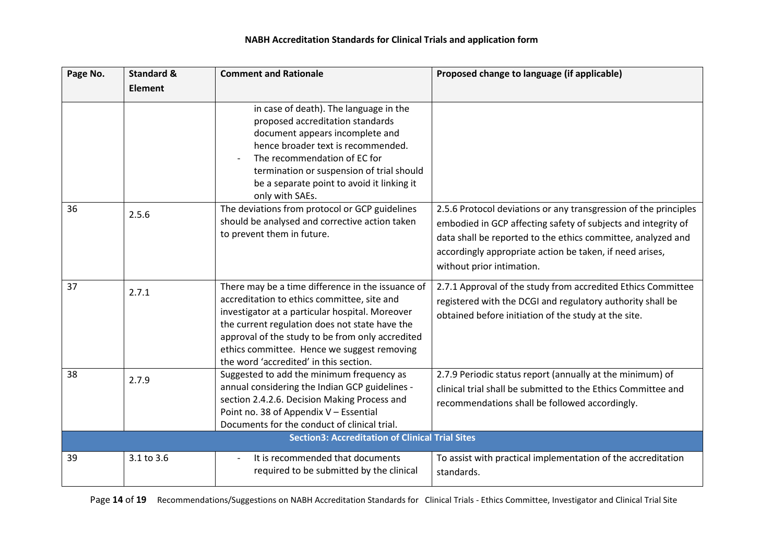| Page No. | <b>Standard &amp;</b> | <b>Comment and Rationale</b>                                                                                                                                                                                                                                                                                                                       | Proposed change to language (if applicable)                                                                                                                                                                                                                                                |
|----------|-----------------------|----------------------------------------------------------------------------------------------------------------------------------------------------------------------------------------------------------------------------------------------------------------------------------------------------------------------------------------------------|--------------------------------------------------------------------------------------------------------------------------------------------------------------------------------------------------------------------------------------------------------------------------------------------|
|          | <b>Element</b>        |                                                                                                                                                                                                                                                                                                                                                    |                                                                                                                                                                                                                                                                                            |
|          |                       | in case of death). The language in the<br>proposed accreditation standards<br>document appears incomplete and<br>hence broader text is recommended.<br>The recommendation of EC for<br>termination or suspension of trial should<br>be a separate point to avoid it linking it<br>only with SAEs.                                                  |                                                                                                                                                                                                                                                                                            |
| 36       | 2.5.6                 | The deviations from protocol or GCP guidelines<br>should be analysed and corrective action taken<br>to prevent them in future.                                                                                                                                                                                                                     | 2.5.6 Protocol deviations or any transgression of the principles<br>embodied in GCP affecting safety of subjects and integrity of<br>data shall be reported to the ethics committee, analyzed and<br>accordingly appropriate action be taken, if need arises,<br>without prior intimation. |
| 37       | 2.7.1                 | There may be a time difference in the issuance of<br>accreditation to ethics committee, site and<br>investigator at a particular hospital. Moreover<br>the current regulation does not state have the<br>approval of the study to be from only accredited<br>ethics committee. Hence we suggest removing<br>the word 'accredited' in this section. | 2.7.1 Approval of the study from accredited Ethics Committee<br>registered with the DCGI and regulatory authority shall be<br>obtained before initiation of the study at the site.                                                                                                         |
| 38       | 2.7.9                 | Suggested to add the minimum frequency as<br>annual considering the Indian GCP guidelines -<br>section 2.4.2.6. Decision Making Process and<br>Point no. 38 of Appendix V - Essential<br>Documents for the conduct of clinical trial.                                                                                                              | 2.7.9 Periodic status report (annually at the minimum) of<br>clinical trial shall be submitted to the Ethics Committee and<br>recommendations shall be followed accordingly.                                                                                                               |
|          |                       | <b>Section3: Accreditation of Clinical Trial Sites</b>                                                                                                                                                                                                                                                                                             |                                                                                                                                                                                                                                                                                            |
| 39       | 3.1 to 3.6            | It is recommended that documents<br>required to be submitted by the clinical                                                                                                                                                                                                                                                                       | To assist with practical implementation of the accreditation<br>standards.                                                                                                                                                                                                                 |

Page 14 of 19 Recommendations/Suggestions on NABH Accreditation Standards for Clinical Trials - Ethics Committee, Investigator and Clinical Trial Site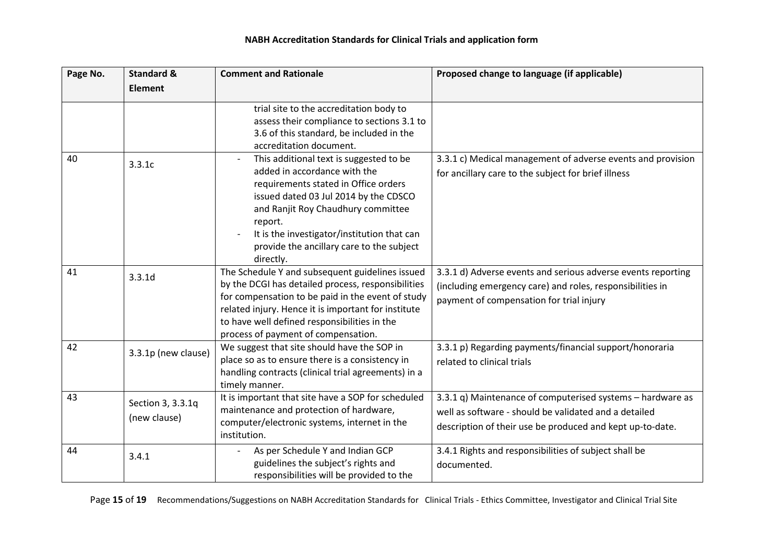| Page No. | <b>Standard &amp;</b>             | <b>Comment and Rationale</b>                                                                                                                                                                                                                                                                                       | Proposed change to language (if applicable)                                                                                                                                      |
|----------|-----------------------------------|--------------------------------------------------------------------------------------------------------------------------------------------------------------------------------------------------------------------------------------------------------------------------------------------------------------------|----------------------------------------------------------------------------------------------------------------------------------------------------------------------------------|
|          | <b>Element</b>                    |                                                                                                                                                                                                                                                                                                                    |                                                                                                                                                                                  |
|          |                                   | trial site to the accreditation body to<br>assess their compliance to sections 3.1 to<br>3.6 of this standard, be included in the<br>accreditation document.                                                                                                                                                       |                                                                                                                                                                                  |
| 40       | 3.3.1c                            | This additional text is suggested to be<br>added in accordance with the<br>requirements stated in Office orders<br>issued dated 03 Jul 2014 by the CDSCO<br>and Ranjit Roy Chaudhury committee<br>report.<br>It is the investigator/institution that can<br>provide the ancillary care to the subject<br>directly. | 3.3.1 c) Medical management of adverse events and provision<br>for ancillary care to the subject for brief illness                                                               |
| 41       | 3.3.1d                            | The Schedule Y and subsequent guidelines issued<br>by the DCGI has detailed process, responsibilities<br>for compensation to be paid in the event of study<br>related injury. Hence it is important for institute<br>to have well defined responsibilities in the<br>process of payment of compensation.           | 3.3.1 d) Adverse events and serious adverse events reporting<br>(including emergency care) and roles, responsibilities in<br>payment of compensation for trial injury            |
| 42       | 3.3.1p (new clause)               | We suggest that site should have the SOP in<br>place so as to ensure there is a consistency in<br>handling contracts (clinical trial agreements) in a<br>timely manner.                                                                                                                                            | 3.3.1 p) Regarding payments/financial support/honoraria<br>related to clinical trials                                                                                            |
| 43       | Section 3, 3.3.1q<br>(new clause) | It is important that site have a SOP for scheduled<br>maintenance and protection of hardware,<br>computer/electronic systems, internet in the<br>institution.                                                                                                                                                      | 3.3.1 q) Maintenance of computerised systems - hardware as<br>well as software - should be validated and a detailed<br>description of their use be produced and kept up-to-date. |
| 44       | 3.4.1                             | As per Schedule Y and Indian GCP<br>guidelines the subject's rights and<br>responsibilities will be provided to the                                                                                                                                                                                                | 3.4.1 Rights and responsibilities of subject shall be<br>documented.                                                                                                             |

Page 15 of 19 Recommendations/Suggestions on NABH Accreditation Standards for Clinical Trials - Ethics Committee, Investigator and Clinical Trial Site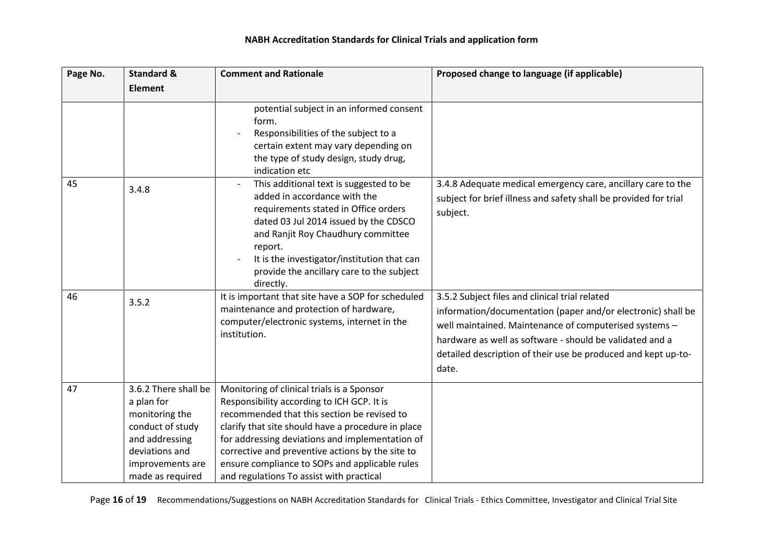| Page No. | <b>Standard &amp;</b>                                                                                                                                | <b>Comment and Rationale</b>                                                                                                                                                                                                                                                                                                                                                                       | Proposed change to language (if applicable)                                                                                                                                                                                                                                                                    |
|----------|------------------------------------------------------------------------------------------------------------------------------------------------------|----------------------------------------------------------------------------------------------------------------------------------------------------------------------------------------------------------------------------------------------------------------------------------------------------------------------------------------------------------------------------------------------------|----------------------------------------------------------------------------------------------------------------------------------------------------------------------------------------------------------------------------------------------------------------------------------------------------------------|
|          | <b>Element</b>                                                                                                                                       |                                                                                                                                                                                                                                                                                                                                                                                                    |                                                                                                                                                                                                                                                                                                                |
|          |                                                                                                                                                      | potential subject in an informed consent<br>form.<br>Responsibilities of the subject to a<br>certain extent may vary depending on<br>the type of study design, study drug,<br>indication etc                                                                                                                                                                                                       |                                                                                                                                                                                                                                                                                                                |
| 45       | 3.4.8                                                                                                                                                | This additional text is suggested to be<br>added in accordance with the<br>requirements stated in Office orders<br>dated 03 Jul 2014 issued by the CDSCO<br>and Ranjit Roy Chaudhury committee<br>report.<br>It is the investigator/institution that can<br>provide the ancillary care to the subject<br>directly.                                                                                 | 3.4.8 Adequate medical emergency care, ancillary care to the<br>subject for brief illness and safety shall be provided for trial<br>subject.                                                                                                                                                                   |
| 46       | 3.5.2                                                                                                                                                | It is important that site have a SOP for scheduled<br>maintenance and protection of hardware,<br>computer/electronic systems, internet in the<br>institution.                                                                                                                                                                                                                                      | 3.5.2 Subject files and clinical trial related<br>information/documentation (paper and/or electronic) shall be<br>well maintained. Maintenance of computerised systems -<br>hardware as well as software - should be validated and a<br>detailed description of their use be produced and kept up-to-<br>date. |
| 47       | 3.6.2 There shall be<br>a plan for<br>monitoring the<br>conduct of study<br>and addressing<br>deviations and<br>improvements are<br>made as required | Monitoring of clinical trials is a Sponsor<br>Responsibility according to ICH GCP. It is<br>recommended that this section be revised to<br>clarify that site should have a procedure in place<br>for addressing deviations and implementation of<br>corrective and preventive actions by the site to<br>ensure compliance to SOPs and applicable rules<br>and regulations To assist with practical |                                                                                                                                                                                                                                                                                                                |

Page 16 of 19 Recommendations/Suggestions on NABH Accreditation Standards for Clinical Trials - Ethics Committee, Investigator and Clinical Trial Site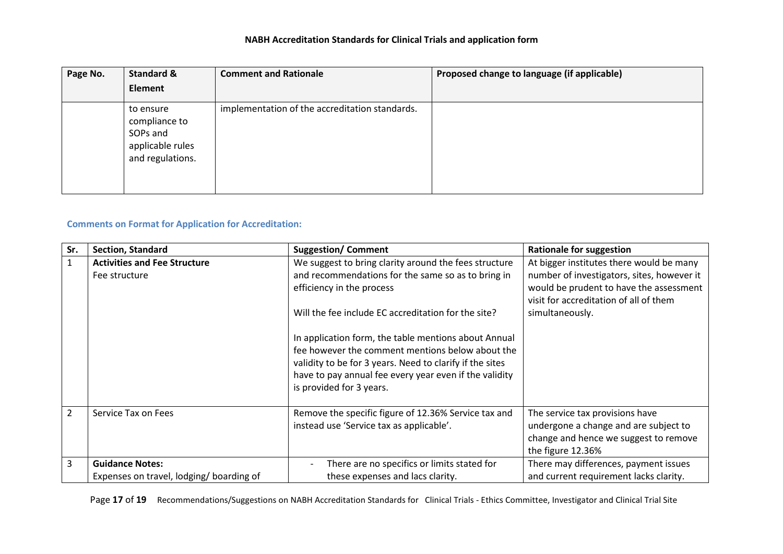| Page No. | <b>Standard &amp;</b>                                                          | <b>Comment and Rationale</b>                   | Proposed change to language (if applicable) |
|----------|--------------------------------------------------------------------------------|------------------------------------------------|---------------------------------------------|
|          | Element                                                                        |                                                |                                             |
|          | to ensure<br>compliance to<br>SOPs and<br>applicable rules<br>and regulations. | implementation of the accreditation standards. |                                             |

## **Comments on Format for Application for Accreditation:**

| Sr.            | <b>Section, Standard</b>                | <b>Suggestion/Comment</b>                                                                        | <b>Rationale for suggestion</b>                                          |
|----------------|-----------------------------------------|--------------------------------------------------------------------------------------------------|--------------------------------------------------------------------------|
| $\mathbf{1}$   | <b>Activities and Fee Structure</b>     | We suggest to bring clarity around the fees structure                                            | At bigger institutes there would be many                                 |
|                | Fee structure                           | and recommendations for the same so as to bring in                                               | number of investigators, sites, however it                               |
|                |                                         | efficiency in the process                                                                        | would be prudent to have the assessment                                  |
|                |                                         |                                                                                                  | visit for accreditation of all of them                                   |
|                |                                         | Will the fee include EC accreditation for the site?                                              | simultaneously.                                                          |
|                |                                         |                                                                                                  |                                                                          |
|                |                                         | In application form, the table mentions about Annual                                             |                                                                          |
|                |                                         | fee however the comment mentions below about the                                                 |                                                                          |
|                |                                         | validity to be for 3 years. Need to clarify if the sites                                         |                                                                          |
|                |                                         | have to pay annual fee every year even if the validity                                           |                                                                          |
|                |                                         | is provided for 3 years.                                                                         |                                                                          |
| $\overline{2}$ | Service Tax on Fees                     |                                                                                                  |                                                                          |
|                |                                         | Remove the specific figure of 12.36% Service tax and<br>instead use 'Service tax as applicable'. | The service tax provisions have<br>undergone a change and are subject to |
|                |                                         |                                                                                                  | change and hence we suggest to remove                                    |
|                |                                         |                                                                                                  |                                                                          |
|                |                                         |                                                                                                  | the figure 12.36%                                                        |
| 3              | <b>Guidance Notes:</b>                  | There are no specifics or limits stated for                                                      | There may differences, payment issues                                    |
|                | Expenses on travel, lodging/boarding of | these expenses and lacs clarity.                                                                 | and current requirement lacks clarity.                                   |

Page 17 of 19 Recommendations/Suggestions on NABH Accreditation Standards for Clinical Trials - Ethics Committee, Investigator and Clinical Trial Site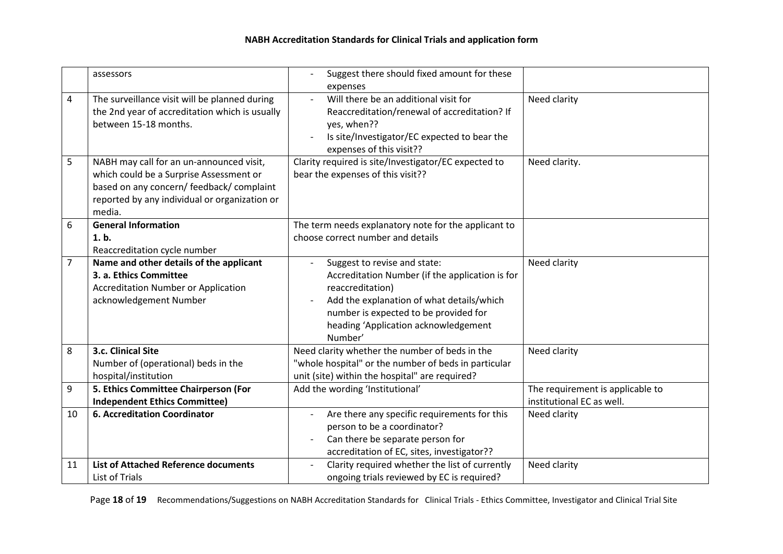|        | assessors                                                                                                                                                                                                                                                                                                     | Suggest there should fixed amount for these                                                                                                                                                                                                                                               |                                                               |
|--------|---------------------------------------------------------------------------------------------------------------------------------------------------------------------------------------------------------------------------------------------------------------------------------------------------------------|-------------------------------------------------------------------------------------------------------------------------------------------------------------------------------------------------------------------------------------------------------------------------------------------|---------------------------------------------------------------|
| 4<br>5 | The surveillance visit will be planned during<br>the 2nd year of accreditation which is usually<br>between 15-18 months.<br>NABH may call for an un-announced visit,<br>which could be a Surprise Assessment or<br>based on any concern/ feedback/ complaint<br>reported by any individual or organization or | expenses<br>Will there be an additional visit for<br>Reaccreditation/renewal of accreditation? If<br>yes, when??<br>Is site/Investigator/EC expected to bear the<br>expenses of this visit??<br>Clarity required is site/Investigator/EC expected to<br>bear the expenses of this visit?? | Need clarity<br>Need clarity.                                 |
| 6      | media.<br><b>General Information</b><br>1.b.<br>Reaccreditation cycle number                                                                                                                                                                                                                                  | The term needs explanatory note for the applicant to<br>choose correct number and details                                                                                                                                                                                                 |                                                               |
| 7      | Name and other details of the applicant<br>3. a. Ethics Committee<br><b>Accreditation Number or Application</b><br>acknowledgement Number                                                                                                                                                                     | Suggest to revise and state:<br>Accreditation Number (if the application is for<br>reaccreditation)<br>Add the explanation of what details/which<br>number is expected to be provided for<br>heading 'Application acknowledgement<br>Number'                                              | Need clarity                                                  |
| 8      | 3.c. Clinical Site<br>Number of (operational) beds in the<br>hospital/institution                                                                                                                                                                                                                             | Need clarity whether the number of beds in the<br>"whole hospital" or the number of beds in particular<br>unit (site) within the hospital" are required?                                                                                                                                  | Need clarity                                                  |
| 9      | 5. Ethics Committee Chairperson (For<br><b>Independent Ethics Committee)</b>                                                                                                                                                                                                                                  | Add the wording 'Institutional'                                                                                                                                                                                                                                                           | The requirement is applicable to<br>institutional EC as well. |
| 10     | <b>6. Accreditation Coordinator</b>                                                                                                                                                                                                                                                                           | Are there any specific requirements for this<br>person to be a coordinator?<br>Can there be separate person for<br>accreditation of EC, sites, investigator??                                                                                                                             | Need clarity                                                  |
| 11     | <b>List of Attached Reference documents</b><br><b>List of Trials</b>                                                                                                                                                                                                                                          | Clarity required whether the list of currently<br>ongoing trials reviewed by EC is required?                                                                                                                                                                                              | Need clarity                                                  |

Page 18 of 19 Recommendations/Suggestions on NABH Accreditation Standards for Clinical Trials - Ethics Committee, Investigator and Clinical Trial Site